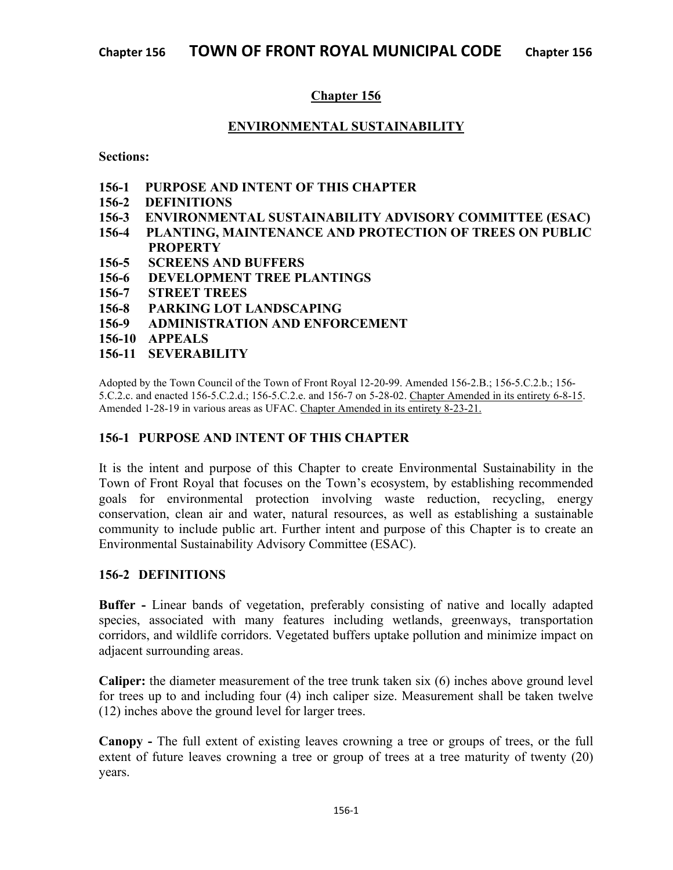# **Chapter 156**

#### **ENVIRONMENTAL SUSTAINABILITY**

**Sections:**

- **156-1 PURPOSE AND INTENT OF THIS CHAPTER**
- **156-2 DEFINITIONS**
- **156-3 ENVIRONMENTAL SUSTAINABILITY ADVISORY COMMITTEE (ESAC)**
- **156-4 PLANTING, MAINTENANCE AND PROTECTION OF TREES ON PUBLIC PROPERTY**
- **156-5 SCREENS AND BUFFERS**
- **156-6 DEVELOPMENT TREE PLANTINGS**
- **156-7 STREET TREES**
- **156-8 PARKING LOT LANDSCAPING**
- **156-9 ADMINISTRATION AND ENFORCEMENT**
- **156-10 APPEALS**
- **156-11 SEVERABILITY**

Adopted by the Town Council of the Town of Front Royal 12-20-99. Amended 156-2.B.; 156-5.C.2.b.; 156- 5.C.2.c. and enacted 156-5.C.2.d.; 156-5.C.2.e. and 156-7 on 5-28-02. Chapter Amended in its entirety 6-8-15. Amended 1-28-19 in various areas as UFAC. Chapter Amended in its entirety 8-23-21.

# **156-1 PURPOSE AND** I**NTENT OF THIS CHAPTER**

It is the intent and purpose of this Chapter to create Environmental Sustainability in the Town of Front Royal that focuses on the Town's ecosystem, by establishing recommended goals for environmental protection involving waste reduction, recycling, energy conservation, clean air and water, natural resources, as well as establishing a sustainable community to include public art. Further intent and purpose of this Chapter is to create an Environmental Sustainability Advisory Committee (ESAC).

# **156-2 DEFINITIONS**

**Buffer -** Linear bands of vegetation, preferably consisting of native and locally adapted species, associated with many features including wetlands, greenways, transportation corridors, and wildlife corridors. Vegetated buffers uptake pollution and minimize impact on adjacent surrounding areas.

**Caliper:** the diameter measurement of the tree trunk taken six (6) inches above ground level for trees up to and including four (4) inch caliper size. Measurement shall be taken twelve (12) inches above the ground level for larger trees.

**Canopy -** The full extent of existing leaves crowning a tree or groups of trees, or the full extent of future leaves crowning a tree or group of trees at a tree maturity of twenty (20) years.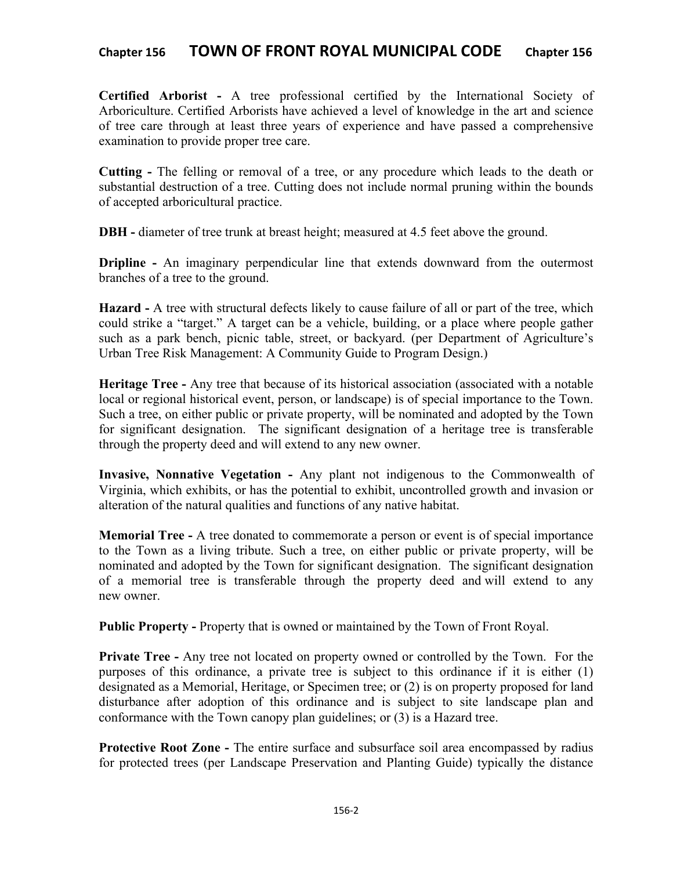**Certified Arborist -** A tree professional certified by the International Society of Arboriculture. Certified Arborists have achieved a level of knowledge in the art and science of tree care through at least three years of experience and have passed a comprehensive examination to provide proper tree care.

**Cutting -** The felling or removal of a tree, or any procedure which leads to the death or substantial destruction of a tree. Cutting does not include normal pruning within the bounds of accepted arboricultural practice.

**DBH -** diameter of tree trunk at breast height; measured at 4.5 feet above the ground.

**Dripline** - An imaginary perpendicular line that extends downward from the outermost branches of a tree to the ground.

**Hazard -** A tree with structural defects likely to cause failure of all or part of the tree, which could strike a "target." A target can be a vehicle, building, or a place where people gather such as a park bench, picnic table, street, or backyard. (per Department of Agriculture's Urban Tree Risk Management: A Community Guide to Program Design.)

**Heritage Tree -** Any tree that because of its historical association (associated with a notable local or regional historical event, person, or landscape) is of special importance to the Town. Such a tree, on either public or private property, will be nominated and adopted by the Town for significant designation. The significant designation of a heritage tree is transferable through the property deed and will extend to any new owner.

**Invasive, Nonnative Vegetation -** Any plant not indigenous to the Commonwealth of Virginia, which exhibits, or has the potential to exhibit, uncontrolled growth and invasion or alteration of the natural qualities and functions of any native habitat.

**Memorial Tree -** A tree donated to commemorate a person or event is of special importance to the Town as a living tribute. Such a tree, on either public or private property, will be nominated and adopted by the Town for significant designation. The significant designation of a memorial tree is transferable through the property deed and will extend to any new owner.

**Public Property -** Property that is owned or maintained by the Town of Front Royal.

**Private Tree -** Any tree not located on property owned or controlled by the Town. For the purposes of this ordinance, a private tree is subject to this ordinance if it is either (1) designated as a Memorial, Heritage, or Specimen tree; or (2) is on property proposed for land disturbance after adoption of this ordinance and is subject to site landscape plan and conformance with the Town canopy plan guidelines; or (3) is a Hazard tree.

**Protective Root Zone -** The entire surface and subsurface soil area encompassed by radius for protected trees (per Landscape Preservation and Planting Guide) typically the distance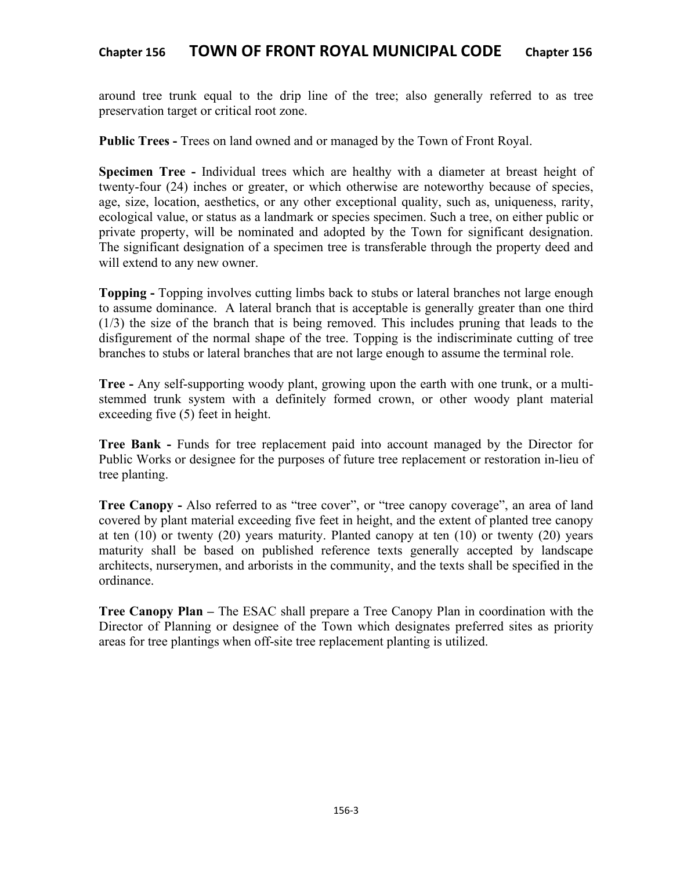around tree trunk equal to the drip line of the tree; also generally referred to as tree preservation target or critical root zone.

**Public Trees -** Trees on land owned and or managed by the Town of Front Royal.

**Specimen Tree -** Individual trees which are healthy with a diameter at breast height of twenty-four (24) inches or greater, or which otherwise are noteworthy because of species, age, size, location, aesthetics, or any other exceptional quality, such as, uniqueness, rarity, ecological value, or status as a landmark or species specimen. Such a tree, on either public or private property, will be nominated and adopted by the Town for significant designation. The significant designation of a specimen tree is transferable through the property deed and will extend to any new owner.

**Topping -** Topping involves cutting limbs back to stubs or lateral branches not large enough to assume dominance. A lateral branch that is acceptable is generally greater than one third (1/3) the size of the branch that is being removed. This includes pruning that leads to the disfigurement of the normal shape of the tree. Topping is the indiscriminate cutting of tree branches to stubs or lateral branches that are not large enough to assume the terminal role.

**Tree -** Any self-supporting woody plant, growing upon the earth with one trunk, or a multistemmed trunk system with a definitely formed crown, or other woody plant material exceeding five (5) feet in height.

**Tree Bank -** Funds for tree replacement paid into account managed by the Director for Public Works or designee for the purposes of future tree replacement or restoration in-lieu of tree planting.

**Tree Canopy -** Also referred to as "tree cover", or "tree canopy coverage", an area of land covered by plant material exceeding five feet in height, and the extent of planted tree canopy at ten  $(10)$  or twenty  $(20)$  years maturity. Planted canopy at ten  $(10)$  or twenty  $(20)$  years maturity shall be based on published reference texts generally accepted by landscape architects, nurserymen, and arborists in the community, and the texts shall be specified in the ordinance.

**Tree Canopy Plan –** The ESAC shall prepare a Tree Canopy Plan in coordination with the Director of Planning or designee of the Town which designates preferred sites as priority areas for tree plantings when off-site tree replacement planting is utilized.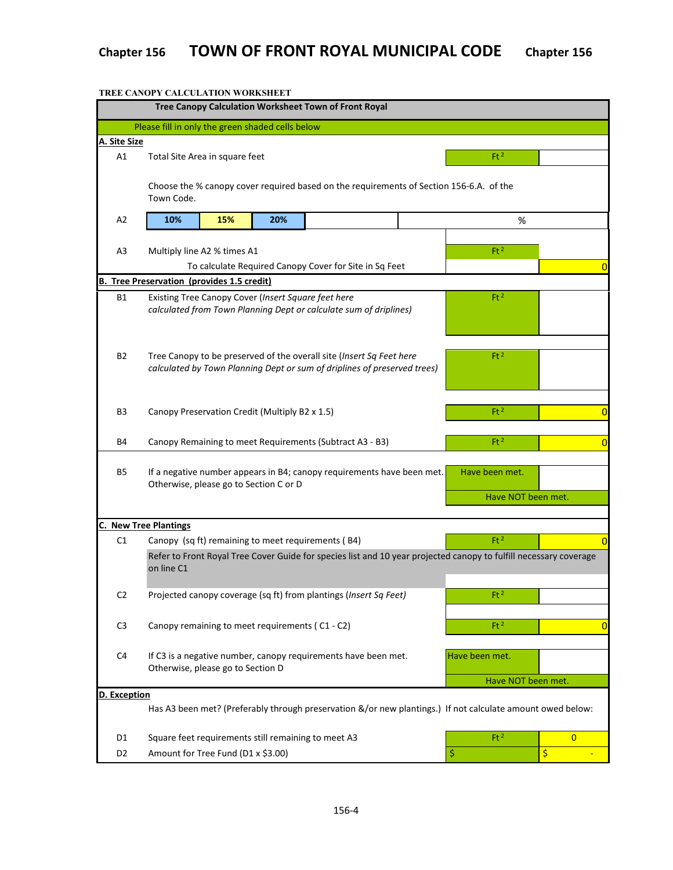|                | TREE CANOPY CALCULATION WORKSHEET                                                                                 |                                                        |                 |                                                                                                                                                  |  |                                                                                                            |                |  |  |  |
|----------------|-------------------------------------------------------------------------------------------------------------------|--------------------------------------------------------|-----------------|--------------------------------------------------------------------------------------------------------------------------------------------------|--|------------------------------------------------------------------------------------------------------------|----------------|--|--|--|
|                |                                                                                                                   |                                                        |                 | Tree Canopy Calculation Worksheet Town of Front Royal                                                                                            |  |                                                                                                            |                |  |  |  |
|                | Please fill in only the green shaded cells below                                                                  |                                                        |                 |                                                                                                                                                  |  |                                                                                                            |                |  |  |  |
| A. Site Size   |                                                                                                                   |                                                        |                 |                                                                                                                                                  |  |                                                                                                            |                |  |  |  |
| A1             | Total Site Area in square feet                                                                                    |                                                        | Ft <sup>2</sup> |                                                                                                                                                  |  |                                                                                                            |                |  |  |  |
|                | Choose the % canopy cover required based on the requirements of Section 156-6.A. of the                           |                                                        |                 |                                                                                                                                                  |  |                                                                                                            |                |  |  |  |
|                | Town Code.                                                                                                        |                                                        |                 |                                                                                                                                                  |  |                                                                                                            |                |  |  |  |
| A <sub>2</sub> | 10%                                                                                                               | 15%                                                    | 20%             |                                                                                                                                                  |  | %                                                                                                          |                |  |  |  |
|                |                                                                                                                   |                                                        |                 |                                                                                                                                                  |  |                                                                                                            |                |  |  |  |
| A3             | Ft <sup>2</sup><br>Multiply line A2 % times A1                                                                    |                                                        |                 |                                                                                                                                                  |  |                                                                                                            |                |  |  |  |
|                |                                                                                                                   | To calculate Required Canopy Cover for Site in Sq Feet |                 | 0                                                                                                                                                |  |                                                                                                            |                |  |  |  |
| в.             | <b>Tree Preservation (provides 1.5 credit)</b>                                                                    |                                                        |                 |                                                                                                                                                  |  |                                                                                                            |                |  |  |  |
| <b>B1</b>      | Existing Tree Canopy Cover (Insert Square feet here<br>Ft <sup>2</sup>                                            |                                                        |                 |                                                                                                                                                  |  |                                                                                                            |                |  |  |  |
|                | calculated from Town Planning Dept or calculate sum of driplines)                                                 |                                                        |                 |                                                                                                                                                  |  |                                                                                                            |                |  |  |  |
|                |                                                                                                                   |                                                        |                 |                                                                                                                                                  |  |                                                                                                            |                |  |  |  |
|                |                                                                                                                   |                                                        |                 |                                                                                                                                                  |  |                                                                                                            |                |  |  |  |
| B2             |                                                                                                                   |                                                        |                 | Tree Canopy to be preserved of the overall site (Insert Sq Feet here<br>calculated by Town Planning Dept or sum of driplines of preserved trees) |  | Ft <sup>2</sup>                                                                                            |                |  |  |  |
|                |                                                                                                                   |                                                        |                 |                                                                                                                                                  |  |                                                                                                            |                |  |  |  |
|                |                                                                                                                   |                                                        |                 |                                                                                                                                                  |  |                                                                                                            |                |  |  |  |
| B3             | Canopy Preservation Credit (Multiply B2 x 1.5)                                                                    |                                                        |                 |                                                                                                                                                  |  | Ft <sup>2</sup>                                                                                            | $\overline{0}$ |  |  |  |
|                |                                                                                                                   |                                                        |                 |                                                                                                                                                  |  |                                                                                                            |                |  |  |  |
| Β4             |                                                                                                                   |                                                        |                 | Canopy Remaining to meet Requirements (Subtract A3 - B3)                                                                                         |  | Ft <sup>2</sup>                                                                                            | $\overline{0}$ |  |  |  |
|                |                                                                                                                   |                                                        |                 |                                                                                                                                                  |  |                                                                                                            |                |  |  |  |
| B5             | If a negative number appears in B4; canopy requirements have been met.                                            |                                                        |                 | Have been met.                                                                                                                                   |  |                                                                                                            |                |  |  |  |
|                | Otherwise, please go to Section C or D                                                                            |                                                        |                 |                                                                                                                                                  |  | Have NOT been met.                                                                                         |                |  |  |  |
|                |                                                                                                                   |                                                        |                 |                                                                                                                                                  |  |                                                                                                            |                |  |  |  |
|                | <b>C. New Tree Plantings</b>                                                                                      |                                                        |                 |                                                                                                                                                  |  |                                                                                                            |                |  |  |  |
| C1             |                                                                                                                   |                                                        |                 | Canopy (sq ft) remaining to meet requirements (B4)                                                                                               |  | Ft <sup>2</sup>                                                                                            | $\overline{0}$ |  |  |  |
|                | Refer to Front Royal Tree Cover Guide for species list and 10 year projected canopy to fulfill necessary coverage |                                                        |                 |                                                                                                                                                  |  |                                                                                                            |                |  |  |  |
|                | on line C1                                                                                                        |                                                        |                 |                                                                                                                                                  |  |                                                                                                            |                |  |  |  |
| C <sub>2</sub> |                                                                                                                   |                                                        |                 | Projected canopy coverage (sq ft) from plantings (Insert Sq Feet)                                                                                |  | Ft <sup>2</sup>                                                                                            |                |  |  |  |
|                |                                                                                                                   |                                                        |                 |                                                                                                                                                  |  |                                                                                                            |                |  |  |  |
| C <sub>3</sub> | Canopy remaining to meet requirements (C1 - C2)                                                                   |                                                        |                 |                                                                                                                                                  |  | Ft <sup>2</sup>                                                                                            | $\bf{0}$       |  |  |  |
|                |                                                                                                                   |                                                        |                 |                                                                                                                                                  |  |                                                                                                            |                |  |  |  |
| C4             |                                                                                                                   |                                                        |                 | If C3 is a negative number, canopy requirements have been met.                                                                                   |  | Have been met.                                                                                             |                |  |  |  |
|                | Otherwise, please go to Section D                                                                                 |                                                        |                 |                                                                                                                                                  |  |                                                                                                            |                |  |  |  |
| D. Exception   |                                                                                                                   |                                                        |                 |                                                                                                                                                  |  | Have NOT been met.                                                                                         |                |  |  |  |
|                |                                                                                                                   |                                                        |                 |                                                                                                                                                  |  | Has A3 been met? (Preferably through preservation &/or new plantings.) If not calculate amount owed below: |                |  |  |  |
|                |                                                                                                                   |                                                        |                 |                                                                                                                                                  |  |                                                                                                            |                |  |  |  |
| D1             |                                                                                                                   |                                                        |                 | Square feet requirements still remaining to meet A3                                                                                              |  | Ft <sup>2</sup>                                                                                            | $\overline{0}$ |  |  |  |
| D <sub>2</sub> | Amount for Tree Fund (D1 x \$3.00)                                                                                |                                                        |                 |                                                                                                                                                  |  | \$                                                                                                         | $\frac{1}{2}$  |  |  |  |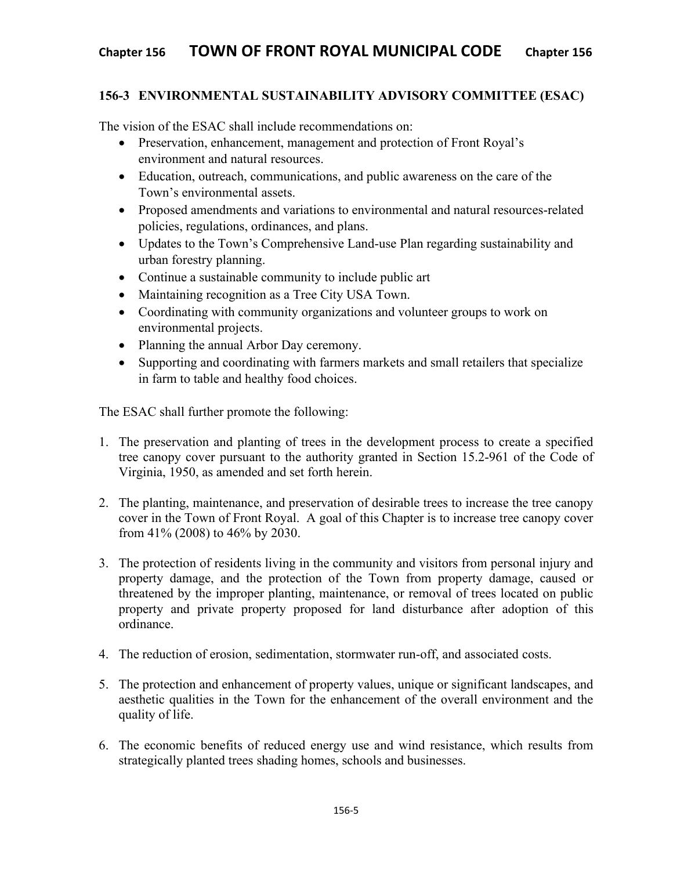# **156-3 ENVIRONMENTAL SUSTAINABILITY ADVISORY COMMITTEE (ESAC)**

The vision of the ESAC shall include recommendations on:

- Preservation, enhancement, management and protection of Front Royal's environment and natural resources.
- Education, outreach, communications, and public awareness on the care of the Town's environmental assets.
- Proposed amendments and variations to environmental and natural resources-related policies, regulations, ordinances, and plans.
- Updates to the Town's Comprehensive Land-use Plan regarding sustainability and urban forestry planning.
- Continue a sustainable community to include public art
- Maintaining recognition as a Tree City USA Town.
- Coordinating with community organizations and volunteer groups to work on environmental projects.
- Planning the annual Arbor Day ceremony.
- Supporting and coordinating with farmers markets and small retailers that specialize in farm to table and healthy food choices.

The ESAC shall further promote the following:

- 1. The preservation and planting of trees in the development process to create a specified tree canopy cover pursuant to the authority granted in Section 15.2-961 of the Code of Virginia, 1950, as amended and set forth herein.
- 2. The planting, maintenance, and preservation of desirable trees to increase the tree canopy cover in the Town of Front Royal. A goal of this Chapter is to increase tree canopy cover from 41% (2008) to 46% by 2030.
- 3. The protection of residents living in the community and visitors from personal injury and property damage, and the protection of the Town from property damage, caused or threatened by the improper planting, maintenance, or removal of trees located on public property and private property proposed for land disturbance after adoption of this ordinance.
- 4. The reduction of erosion, sedimentation, stormwater run-off, and associated costs.
- 5. The protection and enhancement of property values, unique or significant landscapes, and aesthetic qualities in the Town for the enhancement of the overall environment and the quality of life.
- 6. The economic benefits of reduced energy use and wind resistance, which results from strategically planted trees shading homes, schools and businesses.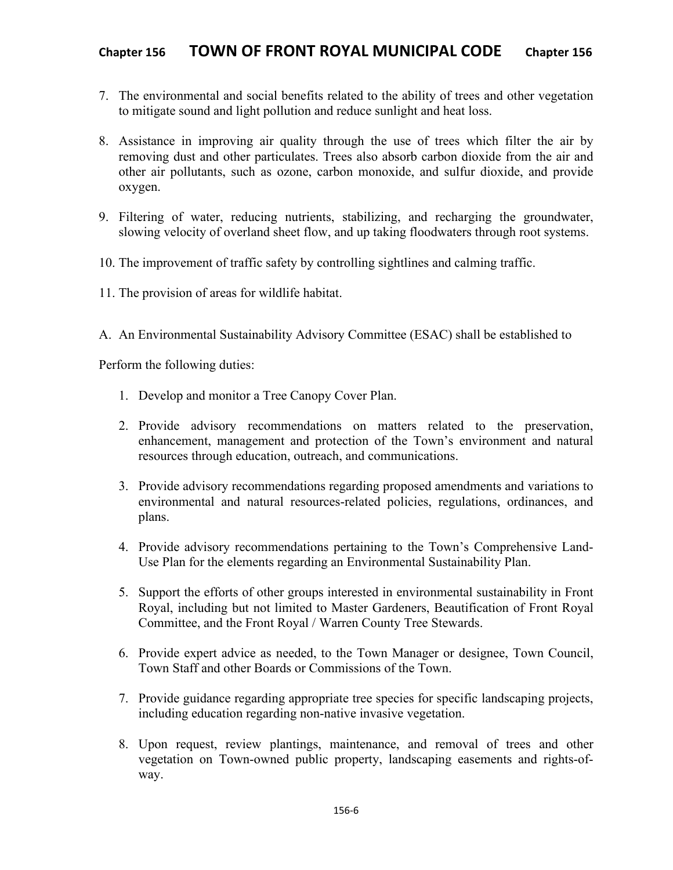- 7. The environmental and social benefits related to the ability of trees and other vegetation to mitigate sound and light pollution and reduce sunlight and heat loss.
- 8. Assistance in improving air quality through the use of trees which filter the air by removing dust and other particulates. Trees also absorb carbon dioxide from the air and other air pollutants, such as ozone, carbon monoxide, and sulfur dioxide, and provide oxygen.
- 9. Filtering of water, reducing nutrients, stabilizing, and recharging the groundwater, slowing velocity of overland sheet flow, and up taking floodwaters through root systems.
- 10. The improvement of traffic safety by controlling sightlines and calming traffic.
- 11. The provision of areas for wildlife habitat.
- A. An Environmental Sustainability Advisory Committee (ESAC) shall be established to

Perform the following duties:

- 1. Develop and monitor a Tree Canopy Cover Plan.
- 2. Provide advisory recommendations on matters related to the preservation, enhancement, management and protection of the Town's environment and natural resources through education, outreach, and communications.
- 3. Provide advisory recommendations regarding proposed amendments and variations to environmental and natural resources-related policies, regulations, ordinances, and plans.
- 4. Provide advisory recommendations pertaining to the Town's Comprehensive Land-Use Plan for the elements regarding an Environmental Sustainability Plan.
- 5. Support the efforts of other groups interested in environmental sustainability in Front Royal, including but not limited to Master Gardeners, Beautification of Front Royal Committee, and the Front Royal / Warren County Tree Stewards.
- 6. Provide expert advice as needed, to the Town Manager or designee, Town Council, Town Staff and other Boards or Commissions of the Town.
- 7. Provide guidance regarding appropriate tree species for specific landscaping projects, including education regarding non-native invasive vegetation.
- 8. Upon request, review plantings, maintenance, and removal of trees and other vegetation on Town-owned public property, landscaping easements and rights-ofway.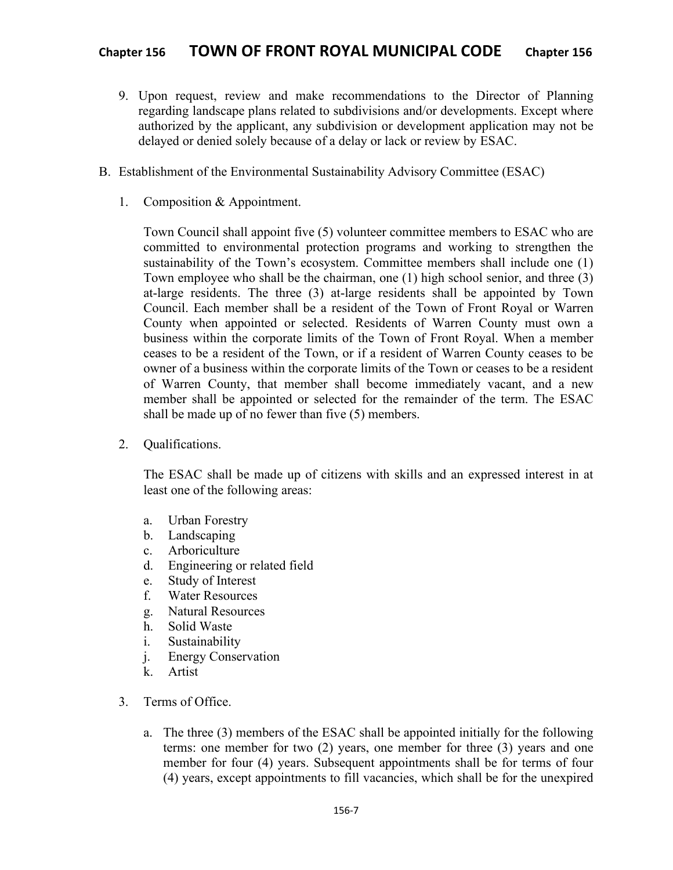- 9. Upon request, review and make recommendations to the Director of Planning regarding landscape plans related to subdivisions and/or developments. Except where authorized by the applicant, any subdivision or development application may not be delayed or denied solely because of a delay or lack or review by ESAC.
- B. Establishment of the Environmental Sustainability Advisory Committee (ESAC)
	- 1. Composition & Appointment.

Town Council shall appoint five (5) volunteer committee members to ESAC who are committed to environmental protection programs and working to strengthen the sustainability of the Town's ecosystem. Committee members shall include one (1) Town employee who shall be the chairman, one (1) high school senior, and three (3) at-large residents. The three (3) at-large residents shall be appointed by Town Council. Each member shall be a resident of the Town of Front Royal or Warren County when appointed or selected. Residents of Warren County must own a business within the corporate limits of the Town of Front Royal. When a member ceases to be a resident of the Town, or if a resident of Warren County ceases to be owner of a business within the corporate limits of the Town or ceases to be a resident of Warren County, that member shall become immediately vacant, and a new member shall be appointed or selected for the remainder of the term. The ESAC shall be made up of no fewer than five (5) members.

2. Qualifications.

The ESAC shall be made up of citizens with skills and an expressed interest in at least one of the following areas:

- a. Urban Forestry
- b. Landscaping
- c. Arboriculture
- d. Engineering or related field
- e. Study of Interest
- f. Water Resources
- g. Natural Resources
- h. Solid Waste
- i. Sustainability
- j. Energy Conservation
- k. Artist
- 3. Terms of Office.
	- a. The three (3) members of the ESAC shall be appointed initially for the following terms: one member for two (2) years, one member for three (3) years and one member for four (4) years. Subsequent appointments shall be for terms of four (4) years, except appointments to fill vacancies, which shall be for the unexpired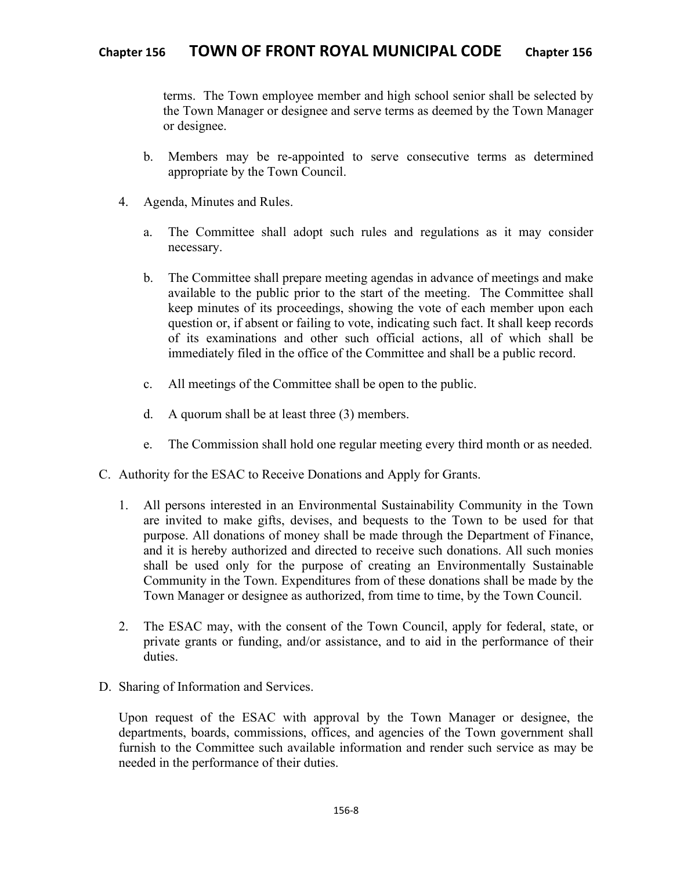terms. The Town employee member and high school senior shall be selected by the Town Manager or designee and serve terms as deemed by the Town Manager or designee.

- b. Members may be re-appointed to serve consecutive terms as determined appropriate by the Town Council.
- 4. Agenda, Minutes and Rules.
	- a. The Committee shall adopt such rules and regulations as it may consider necessary.
	- b. The Committee shall prepare meeting agendas in advance of meetings and make available to the public prior to the start of the meeting. The Committee shall keep minutes of its proceedings, showing the vote of each member upon each question or, if absent or failing to vote, indicating such fact. It shall keep records of its examinations and other such official actions, all of which shall be immediately filed in the office of the Committee and shall be a public record.
	- c. All meetings of the Committee shall be open to the public.
	- d. A quorum shall be at least three (3) members.
	- e. The Commission shall hold one regular meeting every third month or as needed.
- C. Authority for the ESAC to Receive Donations and Apply for Grants.
	- 1. All persons interested in an Environmental Sustainability Community in the Town are invited to make gifts, devises, and bequests to the Town to be used for that purpose. All donations of money shall be made through the Department of Finance, and it is hereby authorized and directed to receive such donations. All such monies shall be used only for the purpose of creating an Environmentally Sustainable Community in the Town. Expenditures from of these donations shall be made by the Town Manager or designee as authorized, from time to time, by the Town Council.
	- 2. The ESAC may, with the consent of the Town Council, apply for federal, state, or private grants or funding, and/or assistance, and to aid in the performance of their duties.
- D. Sharing of Information and Services.

Upon request of the ESAC with approval by the Town Manager or designee, the departments, boards, commissions, offices, and agencies of the Town government shall furnish to the Committee such available information and render such service as may be needed in the performance of their duties.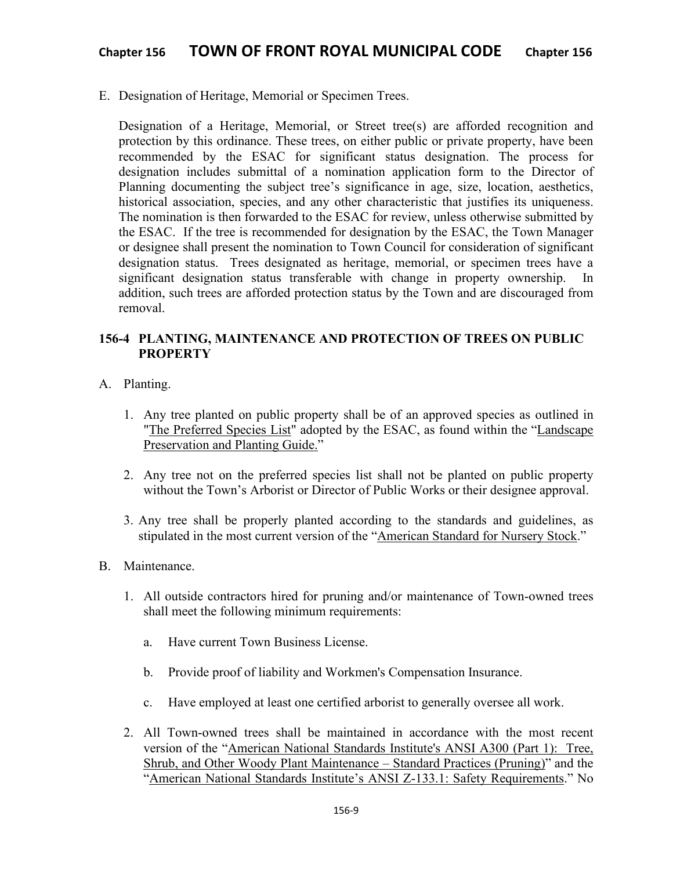E. Designation of Heritage, Memorial or Specimen Trees.

Designation of a Heritage, Memorial, or Street tree(s) are afforded recognition and protection by this ordinance. These trees, on either public or private property, have been recommended by the ESAC for significant status designation. The process for designation includes submittal of a nomination application form to the Director of Planning documenting the subject tree's significance in age, size, location, aesthetics, historical association, species, and any other characteristic that justifies its uniqueness. The nomination is then forwarded to the ESAC for review, unless otherwise submitted by the ESAC. If the tree is recommended for designation by the ESAC, the Town Manager or designee shall present the nomination to Town Council for consideration of significant designation status. Trees designated as heritage, memorial, or specimen trees have a significant designation status transferable with change in property ownership. In addition, such trees are afforded protection status by the Town and are discouraged from removal.

# **156-4 PLANTING, MAINTENANCE AND PROTECTION OF TREES ON PUBLIC PROPERTY**

- A. Planting.
	- 1. Any tree planted on public property shall be of an approved species as outlined in "The Preferred Species List" adopted by the ESAC, as found within the "Landscape Preservation and Planting Guide."
	- 2. Any tree not on the preferred species list shall not be planted on public property without the Town's Arborist or Director of Public Works or their designee approval.
	- 3. Any tree shall be properly planted according to the standards and guidelines, as stipulated in the most current version of the "American Standard for Nursery Stock."
- B. Maintenance.
	- 1. All outside contractors hired for pruning and/or maintenance of Town-owned trees shall meet the following minimum requirements:
		- a. Have current Town Business License.
		- b. Provide proof of liability and Workmen's Compensation Insurance.
		- c. Have employed at least one certified arborist to generally oversee all work.
	- 2. All Town-owned trees shall be maintained in accordance with the most recent version of the "American National Standards Institute's ANSI A300 (Part 1): Tree, Shrub, and Other Woody Plant Maintenance – Standard Practices (Pruning)" and the "American National Standards Institute's ANSI Z-133.1: Safety Requirements." No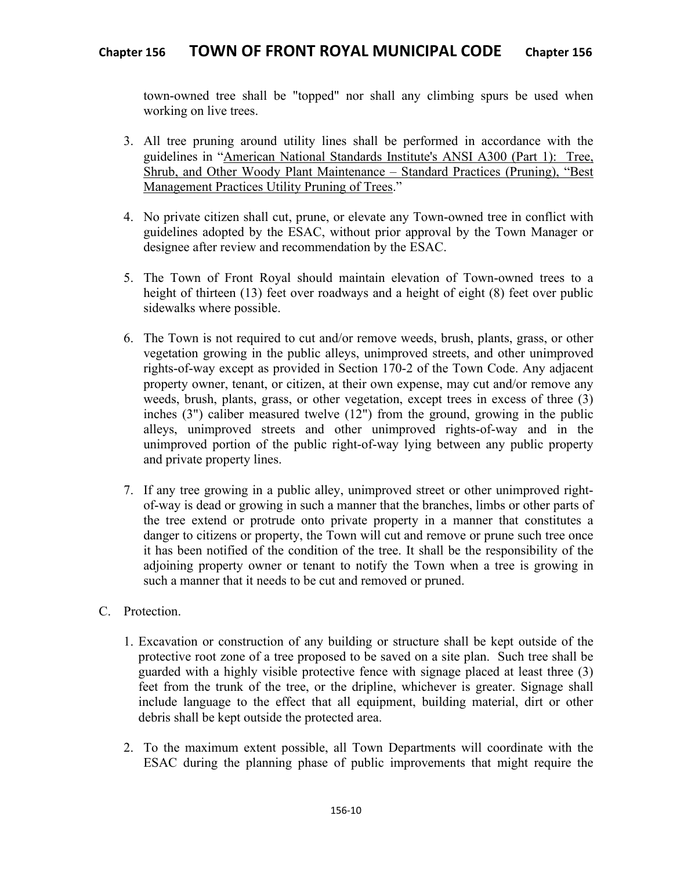town-owned tree shall be "topped" nor shall any climbing spurs be used when working on live trees.

- 3. All tree pruning around utility lines shall be performed in accordance with the guidelines in "American National Standards Institute's ANSI A300 (Part 1): Tree, Shrub, and Other Woody Plant Maintenance – Standard Practices (Pruning), "Best Management Practices Utility Pruning of Trees."
- 4. No private citizen shall cut, prune, or elevate any Town-owned tree in conflict with guidelines adopted by the ESAC, without prior approval by the Town Manager or designee after review and recommendation by the ESAC.
- 5. The Town of Front Royal should maintain elevation of Town-owned trees to a height of thirteen (13) feet over roadways and a height of eight (8) feet over public sidewalks where possible.
- 6. The Town is not required to cut and/or remove weeds, brush, plants, grass, or other vegetation growing in the public alleys, unimproved streets, and other unimproved rights-of-way except as provided in Section 170-2 of the Town Code. Any adjacent property owner, tenant, or citizen, at their own expense, may cut and/or remove any weeds, brush, plants, grass, or other vegetation, except trees in excess of three (3) inches (3") caliber measured twelve (12") from the ground, growing in the public alleys, unimproved streets and other unimproved rights-of-way and in the unimproved portion of the public right-of-way lying between any public property and private property lines.
- 7. If any tree growing in a public alley, unimproved street or other unimproved rightof-way is dead or growing in such a manner that the branches, limbs or other parts of the tree extend or protrude onto private property in a manner that constitutes a danger to citizens or property, the Town will cut and remove or prune such tree once it has been notified of the condition of the tree. It shall be the responsibility of the adjoining property owner or tenant to notify the Town when a tree is growing in such a manner that it needs to be cut and removed or pruned.
- C. Protection.
	- 1. Excavation or construction of any building or structure shall be kept outside of the protective root zone of a tree proposed to be saved on a site plan. Such tree shall be guarded with a highly visible protective fence with signage placed at least three (3) feet from the trunk of the tree, or the dripline, whichever is greater. Signage shall include language to the effect that all equipment, building material, dirt or other debris shall be kept outside the protected area.
	- 2. To the maximum extent possible, all Town Departments will coordinate with the ESAC during the planning phase of public improvements that might require the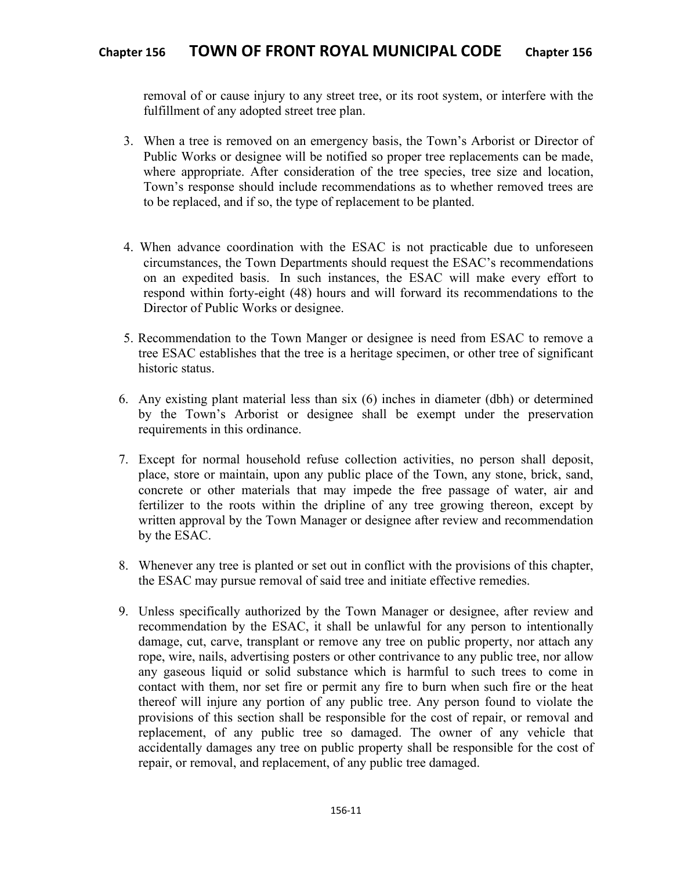removal of or cause injury to any street tree, or its root system, or interfere with the fulfillment of any adopted street tree plan.

- 3. When a tree is removed on an emergency basis, the Town's Arborist or Director of Public Works or designee will be notified so proper tree replacements can be made, where appropriate. After consideration of the tree species, tree size and location, Town's response should include recommendations as to whether removed trees are to be replaced, and if so, the type of replacement to be planted.
- 4. When advance coordination with the ESAC is not practicable due to unforeseen circumstances, the Town Departments should request the ESAC's recommendations on an expedited basis. In such instances, the ESAC will make every effort to respond within forty-eight (48) hours and will forward its recommendations to the Director of Public Works or designee.
- 5. Recommendation to the Town Manger or designee is need from ESAC to remove a tree ESAC establishes that the tree is a heritage specimen, or other tree of significant historic status.
- 6. Any existing plant material less than six (6) inches in diameter (dbh) or determined by the Town's Arborist or designee shall be exempt under the preservation requirements in this ordinance.
- 7. Except for normal household refuse collection activities, no person shall deposit, place, store or maintain, upon any public place of the Town, any stone, brick, sand, concrete or other materials that may impede the free passage of water, air and fertilizer to the roots within the dripline of any tree growing thereon, except by written approval by the Town Manager or designee after review and recommendation by the ESAC.
- 8. Whenever any tree is planted or set out in conflict with the provisions of this chapter, the ESAC may pursue removal of said tree and initiate effective remedies.
- 9. Unless specifically authorized by the Town Manager or designee, after review and recommendation by the ESAC, it shall be unlawful for any person to intentionally damage, cut, carve, transplant or remove any tree on public property, nor attach any rope, wire, nails, advertising posters or other contrivance to any public tree, nor allow any gaseous liquid or solid substance which is harmful to such trees to come in contact with them, nor set fire or permit any fire to burn when such fire or the heat thereof will injure any portion of any public tree. Any person found to violate the provisions of this section shall be responsible for the cost of repair, or removal and replacement, of any public tree so damaged. The owner of any vehicle that accidentally damages any tree on public property shall be responsible for the cost of repair, or removal, and replacement, of any public tree damaged.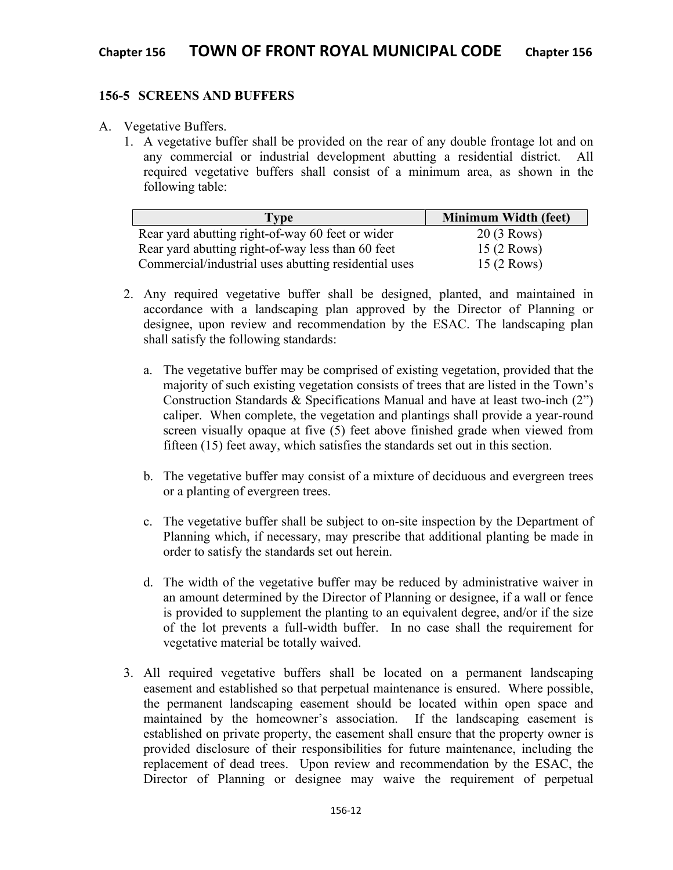#### **156-5 SCREENS AND BUFFERS**

- A. Vegetative Buffers.
	- 1. A vegetative buffer shall be provided on the rear of any double frontage lot and on any commercial or industrial development abutting a residential district. All required vegetative buffers shall consist of a minimum area, as shown in the following table:

| <b>Type</b>                                          | <b>Minimum Width (feet)</b> |
|------------------------------------------------------|-----------------------------|
| Rear yard abutting right-of-way 60 feet or wider     | 20 (3 Rows)                 |
| Rear yard abutting right-of-way less than 60 feet    | 15 (2 Rows)                 |
| Commercial/industrial uses abutting residential uses | 15 (2 Rows)                 |

- 2. Any required vegetative buffer shall be designed, planted, and maintained in accordance with a landscaping plan approved by the Director of Planning or designee, upon review and recommendation by the ESAC. The landscaping plan shall satisfy the following standards:
	- a. The vegetative buffer may be comprised of existing vegetation, provided that the majority of such existing vegetation consists of trees that are listed in the Town's Construction Standards & Specifications Manual and have at least two-inch (2") caliper. When complete, the vegetation and plantings shall provide a year-round screen visually opaque at five (5) feet above finished grade when viewed from fifteen (15) feet away, which satisfies the standards set out in this section.
	- b. The vegetative buffer may consist of a mixture of deciduous and evergreen trees or a planting of evergreen trees.
	- c. The vegetative buffer shall be subject to on-site inspection by the Department of Planning which, if necessary, may prescribe that additional planting be made in order to satisfy the standards set out herein.
	- d. The width of the vegetative buffer may be reduced by administrative waiver in an amount determined by the Director of Planning or designee, if a wall or fence is provided to supplement the planting to an equivalent degree, and/or if the size of the lot prevents a full-width buffer. In no case shall the requirement for vegetative material be totally waived.
- 3. All required vegetative buffers shall be located on a permanent landscaping easement and established so that perpetual maintenance is ensured. Where possible, the permanent landscaping easement should be located within open space and maintained by the homeowner's association. If the landscaping easement is established on private property, the easement shall ensure that the property owner is provided disclosure of their responsibilities for future maintenance, including the replacement of dead trees. Upon review and recommendation by the ESAC, the Director of Planning or designee may waive the requirement of perpetual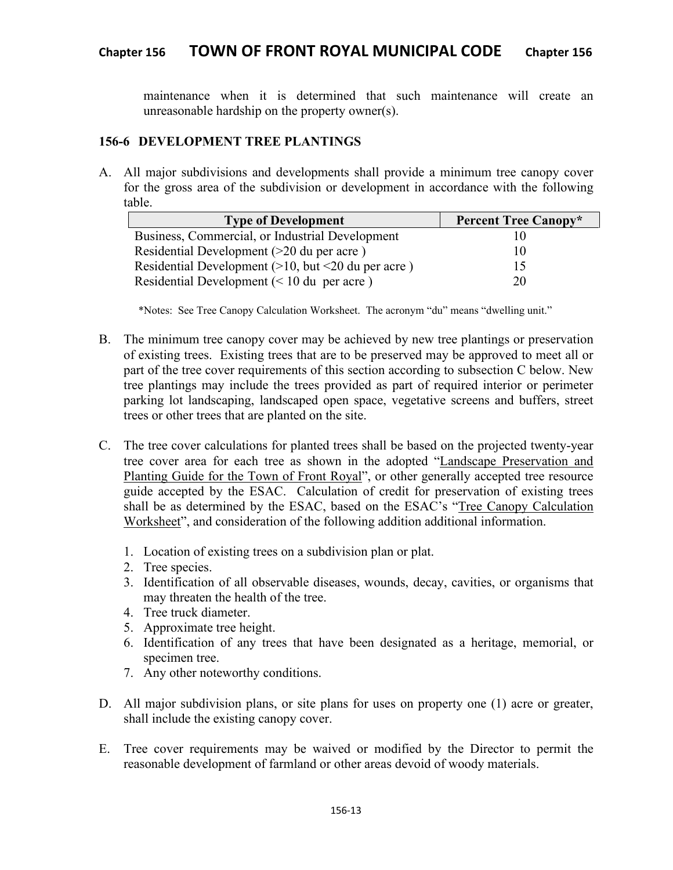maintenance when it is determined that such maintenance will create an unreasonable hardship on the property owner(s).

#### **156-6 DEVELOPMENT TREE PLANTINGS**

A. All major subdivisions and developments shall provide a minimum tree canopy cover for the gross area of the subdivision or development in accordance with the following table.

| <b>Type of Development</b>                                             | <b>Percent Tree Canopy*</b> |
|------------------------------------------------------------------------|-----------------------------|
| Business, Commercial, or Industrial Development                        |                             |
| Residential Development (>20 du per acre)                              | 10                          |
| Residential Development $(>10, \text{ but } < 20 \text{ du per acre})$ | L5                          |
| Residential Development $(< 10 \text{ du per acre})$                   | 20                          |

\*Notes: See Tree Canopy Calculation Worksheet. The acronym "du" means "dwelling unit."

- B. The minimum tree canopy cover may be achieved by new tree plantings or preservation of existing trees. Existing trees that are to be preserved may be approved to meet all or part of the tree cover requirements of this section according to subsection C below. New tree plantings may include the trees provided as part of required interior or perimeter parking lot landscaping, landscaped open space, vegetative screens and buffers, street trees or other trees that are planted on the site.
- C. The tree cover calculations for planted trees shall be based on the projected twenty-year tree cover area for each tree as shown in the adopted "Landscape Preservation and Planting Guide for the Town of Front Royal", or other generally accepted tree resource guide accepted by the ESAC. Calculation of credit for preservation of existing trees shall be as determined by the ESAC, based on the ESAC's "Tree Canopy Calculation Worksheet", and consideration of the following addition additional information.
	- 1. Location of existing trees on a subdivision plan or plat.
	- 2. Tree species.
	- 3. Identification of all observable diseases, wounds, decay, cavities, or organisms that may threaten the health of the tree.
	- 4. Tree truck diameter.
	- 5. Approximate tree height.
	- 6. Identification of any trees that have been designated as a heritage, memorial, or specimen tree.
	- 7. Any other noteworthy conditions.
- D. All major subdivision plans, or site plans for uses on property one (1) acre or greater, shall include the existing canopy cover.
- E. Tree cover requirements may be waived or modified by the Director to permit the reasonable development of farmland or other areas devoid of woody materials.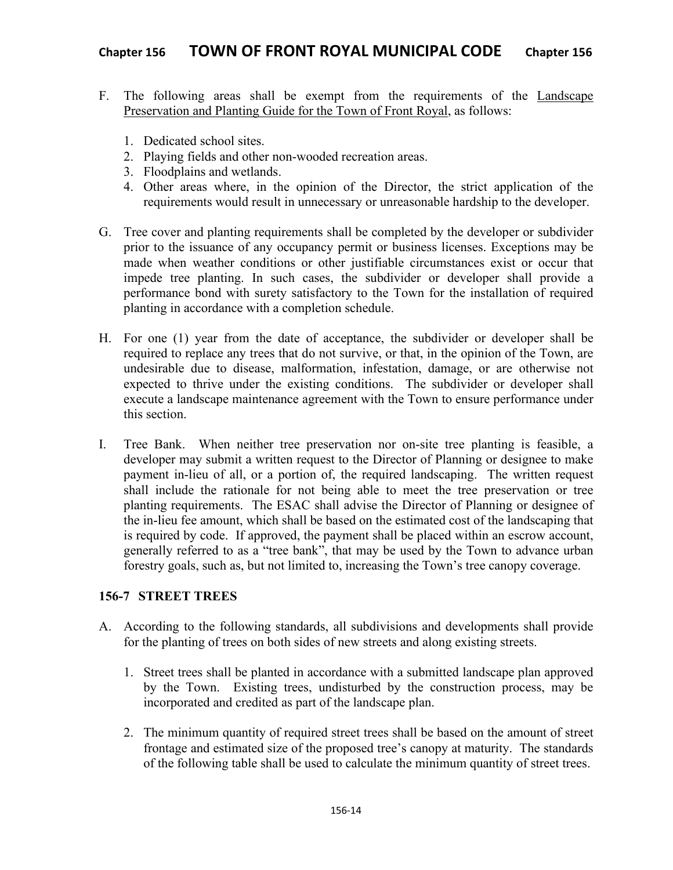- F. The following areas shall be exempt from the requirements of the Landscape Preservation and Planting Guide for the Town of Front Royal, as follows:
	- 1. Dedicated school sites.
	- 2. Playing fields and other non-wooded recreation areas.
	- 3. Floodplains and wetlands.
	- 4. Other areas where, in the opinion of the Director, the strict application of the requirements would result in unnecessary or unreasonable hardship to the developer.
- G. Tree cover and planting requirements shall be completed by the developer or subdivider prior to the issuance of any occupancy permit or business licenses. Exceptions may be made when weather conditions or other justifiable circumstances exist or occur that impede tree planting. In such cases, the subdivider or developer shall provide a performance bond with surety satisfactory to the Town for the installation of required planting in accordance with a completion schedule.
- H. For one (1) year from the date of acceptance, the subdivider or developer shall be required to replace any trees that do not survive, or that, in the opinion of the Town, are undesirable due to disease, malformation, infestation, damage, or are otherwise not expected to thrive under the existing conditions. The subdivider or developer shall execute a landscape maintenance agreement with the Town to ensure performance under this section.
- I. Tree Bank. When neither tree preservation nor on-site tree planting is feasible, a developer may submit a written request to the Director of Planning or designee to make payment in-lieu of all, or a portion of, the required landscaping. The written request shall include the rationale for not being able to meet the tree preservation or tree planting requirements. The ESAC shall advise the Director of Planning or designee of the in-lieu fee amount, which shall be based on the estimated cost of the landscaping that is required by code. If approved, the payment shall be placed within an escrow account, generally referred to as a "tree bank", that may be used by the Town to advance urban forestry goals, such as, but not limited to, increasing the Town's tree canopy coverage.

# **156-7 STREET TREES**

- A. According to the following standards, all subdivisions and developments shall provide for the planting of trees on both sides of new streets and along existing streets.
	- 1. Street trees shall be planted in accordance with a submitted landscape plan approved by the Town. Existing trees, undisturbed by the construction process, may be incorporated and credited as part of the landscape plan.
	- 2. The minimum quantity of required street trees shall be based on the amount of street frontage and estimated size of the proposed tree's canopy at maturity. The standards of the following table shall be used to calculate the minimum quantity of street trees.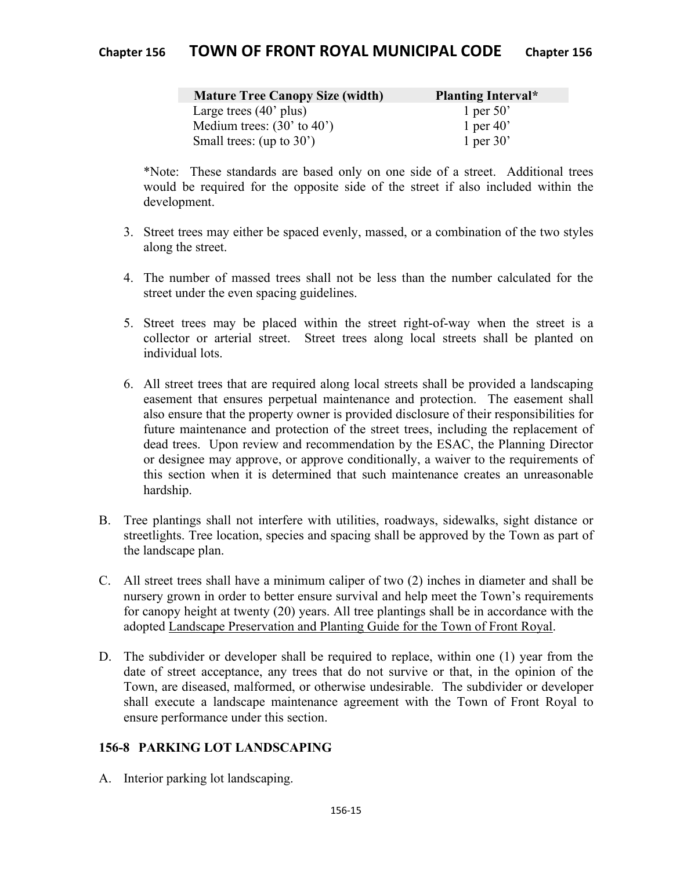| <b>Mature Tree Canopy Size (width)</b> | <b>Planting Interval*</b> |
|----------------------------------------|---------------------------|
| Large trees $(40^{\circ}$ plus)        | 1 per 50'                 |
| Medium trees: $(30'$ to $40')$         | 1 per 40'                 |
| Small trees: $(up to 30')$             | 1 per 30'                 |

\*Note: These standards are based only on one side of a street. Additional trees would be required for the opposite side of the street if also included within the development.

- 3. Street trees may either be spaced evenly, massed, or a combination of the two styles along the street.
- 4. The number of massed trees shall not be less than the number calculated for the street under the even spacing guidelines.
- 5. Street trees may be placed within the street right-of-way when the street is a collector or arterial street. Street trees along local streets shall be planted on individual lots.
- 6. All street trees that are required along local streets shall be provided a landscaping easement that ensures perpetual maintenance and protection. The easement shall also ensure that the property owner is provided disclosure of their responsibilities for future maintenance and protection of the street trees, including the replacement of dead trees. Upon review and recommendation by the ESAC, the Planning Director or designee may approve, or approve conditionally, a waiver to the requirements of this section when it is determined that such maintenance creates an unreasonable hardship.
- B. Tree plantings shall not interfere with utilities, roadways, sidewalks, sight distance or streetlights. Tree location, species and spacing shall be approved by the Town as part of the landscape plan.
- C. All street trees shall have a minimum caliper of two (2) inches in diameter and shall be nursery grown in order to better ensure survival and help meet the Town's requirements for canopy height at twenty (20) years. All tree plantings shall be in accordance with the adopted Landscape Preservation and Planting Guide for the Town of Front Royal.
- D. The subdivider or developer shall be required to replace, within one (1) year from the date of street acceptance, any trees that do not survive or that, in the opinion of the Town, are diseased, malformed, or otherwise undesirable. The subdivider or developer shall execute a landscape maintenance agreement with the Town of Front Royal to ensure performance under this section.

# **156-8 PARKING LOT LANDSCAPING**

A. Interior parking lot landscaping.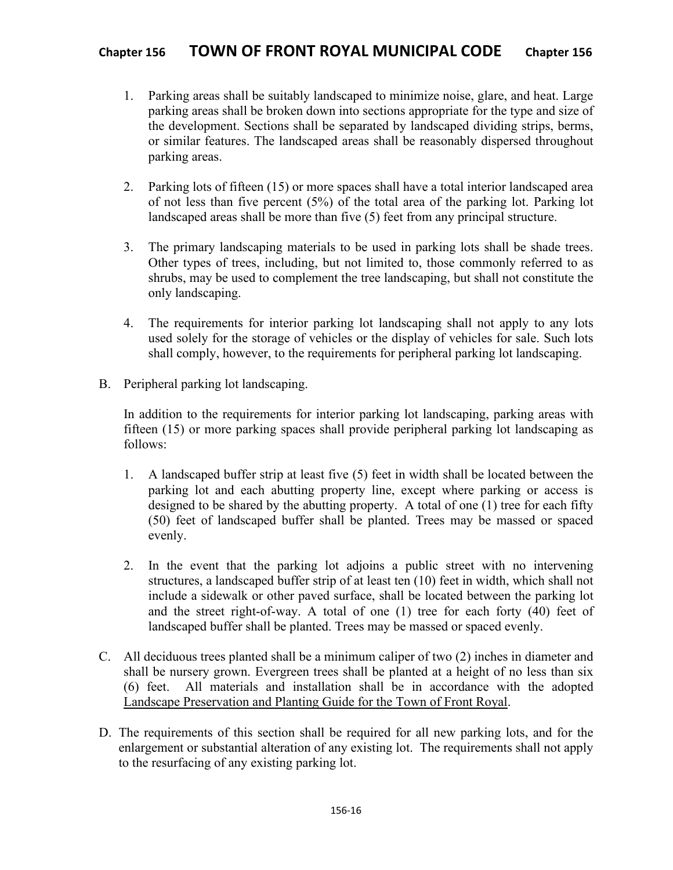- 1. Parking areas shall be suitably landscaped to minimize noise, glare, and heat. Large parking areas shall be broken down into sections appropriate for the type and size of the development. Sections shall be separated by landscaped dividing strips, berms, or similar features. The landscaped areas shall be reasonably dispersed throughout parking areas.
- 2. Parking lots of fifteen (15) or more spaces shall have a total interior landscaped area of not less than five percent (5%) of the total area of the parking lot. Parking lot landscaped areas shall be more than five (5) feet from any principal structure.
- 3. The primary landscaping materials to be used in parking lots shall be shade trees. Other types of trees, including, but not limited to, those commonly referred to as shrubs, may be used to complement the tree landscaping, but shall not constitute the only landscaping.
- 4. The requirements for interior parking lot landscaping shall not apply to any lots used solely for the storage of vehicles or the display of vehicles for sale. Such lots shall comply, however, to the requirements for peripheral parking lot landscaping.
- B. Peripheral parking lot landscaping.

In addition to the requirements for interior parking lot landscaping, parking areas with fifteen (15) or more parking spaces shall provide peripheral parking lot landscaping as follows:

- 1. A landscaped buffer strip at least five (5) feet in width shall be located between the parking lot and each abutting property line, except where parking or access is designed to be shared by the abutting property. A total of one (1) tree for each fifty (50) feet of landscaped buffer shall be planted. Trees may be massed or spaced evenly.
- 2. In the event that the parking lot adjoins a public street with no intervening structures, a landscaped buffer strip of at least ten (10) feet in width, which shall not include a sidewalk or other paved surface, shall be located between the parking lot and the street right-of-way. A total of one (1) tree for each forty (40) feet of landscaped buffer shall be planted. Trees may be massed or spaced evenly.
- C. All deciduous trees planted shall be a minimum caliper of two (2) inches in diameter and shall be nursery grown. Evergreen trees shall be planted at a height of no less than six (6) feet. All materials and installation shall be in accordance with the adopted Landscape Preservation and Planting Guide for the Town of Front Royal.
- D. The requirements of this section shall be required for all new parking lots, and for the enlargement or substantial alteration of any existing lot. The requirements shall not apply to the resurfacing of any existing parking lot.